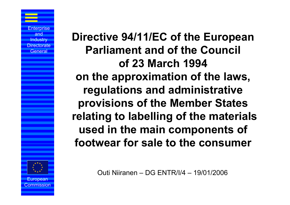**Directive 94/11/EC of the European Parliament and of the Council of 23 March 1994 on the approximation of the laws, regulations and administrative provisions of the Member States relating to labelling of the materials used in the main components of footwear for sale to the consumer**

Outi Niiranen – DG ENTR/I/4 – 19/01/2006



ommission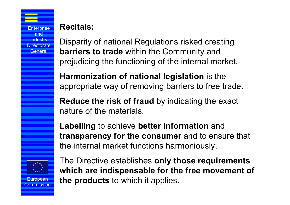## **Recitals:**

Disparity of national Regulations risked creating **barriers to trade** within the Community and prejudicing the functioning of the internal market.

**Harmonization of national legislation** is the appropriate way of removing barriers to free trade.

**Reduce the risk of fraud** by indicating the exact nature of the materials.

**Labelling** to achieve **better information** and **transparency for the consumer** and to ensure that the internal market functions harmoniously.



European ommission

The Directive establishes **only those requirements which are indispensable for the free movement of the products** to which it applies.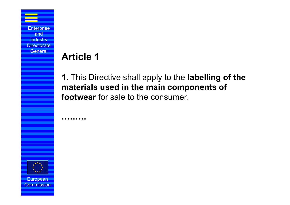# **Article 1**

**………**

**1.** This Directive shall apply to the **labelling of the materials used in the main components of footwear** for sale to the consumer.



**Enterprise** and **Industry Directorate General** 

European ommission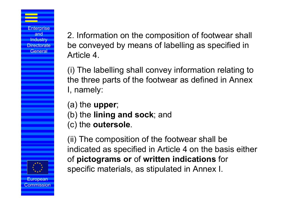2. Information on the composition of footwear shall be conveyed by means of labelling as specified in Article 4.

(i) The labelling shall convey information relating to the three parts of the footwear as defined in Annex I, namely:

(a) the **upper**;

- (b) the **lining and sock**; and
- (c) the **outersole**.

(ii) The composition of the footwear shall be indicated as specified in Article 4 on the basis either of **pictograms or** of **written indications** for specific materials, as stipulated in Annex I.

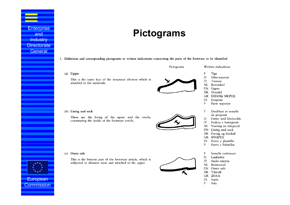## **Pictograms**

### 1. Definition and corresponding pictograms or written indications concerning the parts of the footwear to be identified

 $(a)$  Upper

This is the outer face of the structural element which is attached to the outersole.



Pictograms

Written indications

- $\mathbf F$ Tige
- D Obermaterial
- IT Tomaia
- $NL$ Bovendeel
- Upper EN
- DK Overdel
- ΕΠΑΝΩ ΜΕΡΟΣ GR
- ES Empeine
- $\mathbf{P}$ Parte superior
- F Doublure et semelle de propreté
- D Futter und Decksohle
- IT Fodera e Sottopiede
- NL Voering en inlegzool
- Lining and sock EN
- Foring og bindsål DK
- ΦΟΔΡΕΣ GR
- ES Forro y plantilla
- $\mathbf{P}$ Forro e Palmilha
- ${\bf F}$ Semelle extérieure
- D Laufsohle
- IT Suola esterna
- Buitenzool NL.
- Outer sole EN
- DK Ydersål
- GR ΣΟΛΑ
- ES Suela
- P Sola

### (b) Lining and sock

These are the lining of the upper and the insole, constituting the inside of the footwear article.



(c) Outer sole

This is the bottom part of the footwear article, which is subjected to abrasive wear and attached to the upper.





European ommission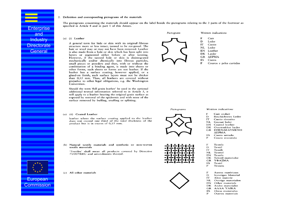#### 2. Definition and corresponding pictograms of the materials

The pictograms concerning the materials should appear on the label beside the pictograms relating to the 3 parts of the footwear as specified in Article 4 and in part 1 of this Annex.

### (a) (i) Leather

Enterprise and **Industry** Directorate **General** 

**European** ommission A general term for hide or skin with its original fibrous structure more or less intact, tanned to be rot-proof. The hair or wool may or may not have been removed. Leather is also made from a hide or skin which has been split into lavers or segmented either before or after tanning. However, if the tanned hide or skin is disintegrated mechanically and/or chemically into fibrous particles, small pieces or powders and then, with or without the combination of a binding agent, is made into sheets or other forms, such sheets or forms are not leather. If the leather has a surface coating, however applied, or a glued-on finish, such surface layers must not be thicker than 0,15 mm. Thus, all leathers are covered without prejudice to other legal obligations, e.g. the Washington Convention.

Should the term 'full grain leather' be used in the optional additional textual information referred to in Article 5, it will apply to a leather bearing the original grain surface as exposed by removal of the epidermis and with none of the surface removed by buffing, snuffing or splitting.

#### (a) (ii) Coated Leather

leather where the surface coating applied to the leather does not exceed one third of the total thickness of the product but is in excess of 0,15 mm.

(b) Natural textile materials and synthetic or non-woven textile materials

'Textiles' shall mean all products covered by Directive 71/307/EEC and amendments thereof.

(c) All other materials



Pictograms



Written indications

E D IT NI. EN GR ES P

Pictogram

Cuir Leder

- Cuoio
- Leder
- Leather
- DK Læder
- **AEPMA**
- Cuero
- Couros e peles curtidas

#### Written indications

- F Cuir enduit
- D **Beschichtetes** Leder
- IT Cuoio rivestito
- NL Gecoat leder
- EN Coated leather
- DK Overtrukket læder GR EΠΕΝΔΕΔΥΜΕΝΟ
- ΔΕΡΜΑ
- ES Cuero untado  $\mathbf{P}$ Couro revestido
- 
- ${\bf F}$ Textile
- $\mathbf{D}$ Textil
- **IT** Tessili
- $NL$ Textiel
- Textile EN
- DK Tekstil-materialer
- $GR$ ΥΦΑΣΜΑ
- ES Textil
- Téxteis P
- F Autres matériaux
- D Sonstiges Material IT
- Altre materie
- $NL$ Overige materialen EN Other materials
- DK Andre materialer
- **GR AAAA YAIKA** 
	-

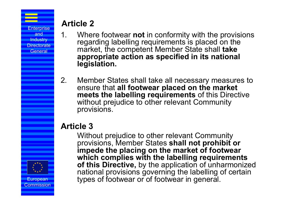European ommission

## **Article 2**

- 1. Where footwear **not** in conformity with the provisions regarding labelling requirements is placed on the market, the competent Member State shall **take appropriate action as specified in its national legislation.**
- 2. Member States shall take all necessary measures to ensure that **all footwear placed on the market meets the labelling requirements** of this Directive without prejudice to other relevant Community provisions.

## **Article 3**

Without prejudice to other relevant Community provisions, Member States **shall not prohibit or impede the placing on the market of footwear which complies with the labelling requirements of this Directive,** by the application of unharmonized national provisions governing the labelling of certain types of footwear or of footwear in general.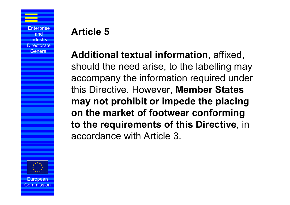# **Article 5**

**Additional textual information**, affixed, should the need arise, to the labelling may accompany the information required under this Directive. However, **Member States may not prohibit or impede the placing on the market of footwear conforming to the requirements of this Directive**, in accordance with Article 3.



Commission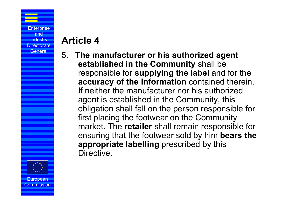# **Article 4**

5. **The manufacturer or his authorized agent established in the Community** shall be responsible for **supplying the label** and for the **accuracy of the information** contained therein. If neither the manufacturer nor his authorized agent is established in the Community, this obligation shall fall on the person responsible for first placing the footwear on the Community market. The **retailer** shall remain responsible for ensuring that the footwear sold by him **bears the appropriate labelling** prescribed by this Directive.



European ommission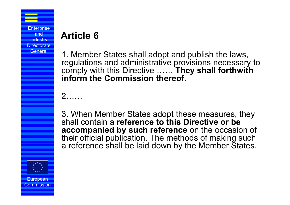# **Article 6**

1. Member States shall adopt and publish the laws, regulations and administrative provisions necessary to comply with this Directive …… **They shall forthwith inform the Commission thereof**.

 $\mathcal{P}$ 

3. When Member States adopt these measures, they shall contain **a reference to this Directive or be accompanied by such reference** on the occasion of their official publication. The methods of making such a reference shall be laid down by the Member States.

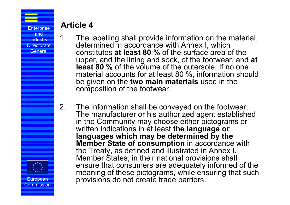European ommission

## **Article 4**

- 
- 1. The labelling shall provide information on the material, determined in accordance with Annex I, which constitutes **at least 80 %** of the surface area of the upper, and the lining and sock, of the footwear, and **at least 80 %** of the volume of the outersole. If no one material accounts for at least 80 %, information should be given on the **two main materials** used in the composition of the footwear.
	- 2. The information shall be conveyed on the footwear. The manufacturer or his authorized agent established in the Community may choose either pictograms or written indications in at least **the language or languages which may be determined by the Member State of consumption** in accordance with the Treaty, as defined and illustrated in Annex I. Member States, in their national provisions shall ensure that consumers are adequately informed of the meaning of these pictograms, while ensuring that such provisions do not create trade barriers.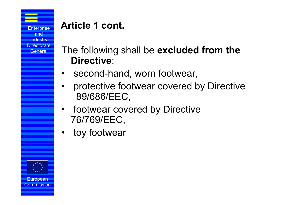# **Article 1 cont.**

- The following shall be **excluded from the Directive**:
- •second-hand, worn footwear,
- • protective footwear covered by Directive 89/686/EEC,
- • footwear covered by Directive 76/769/EEC,
- •toy footwear



ommission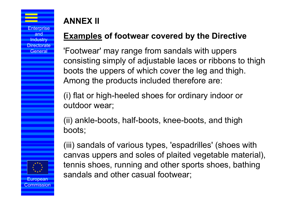**ANNEX II** 

European Commission

## **Examples of footwear covered by the Directive**

'Footwear' may range from sandals with uppers consisting simply of adjustable laces or ribbons to thigh boots the uppers of which cover the leg and thigh. Among the products included therefore are:

(i) flat or high-heeled shoes for ordinary indoor or outdoor wear;

(ii) ankle-boots, half-boots, knee-boots, and thigh boots;

(iii) sandals of various types, 'espadrilles' (shoes with canvas uppers and soles of plaited vegetable material) tennis shoes, running and other sports shoes, bathing sandals and other casual footwear;